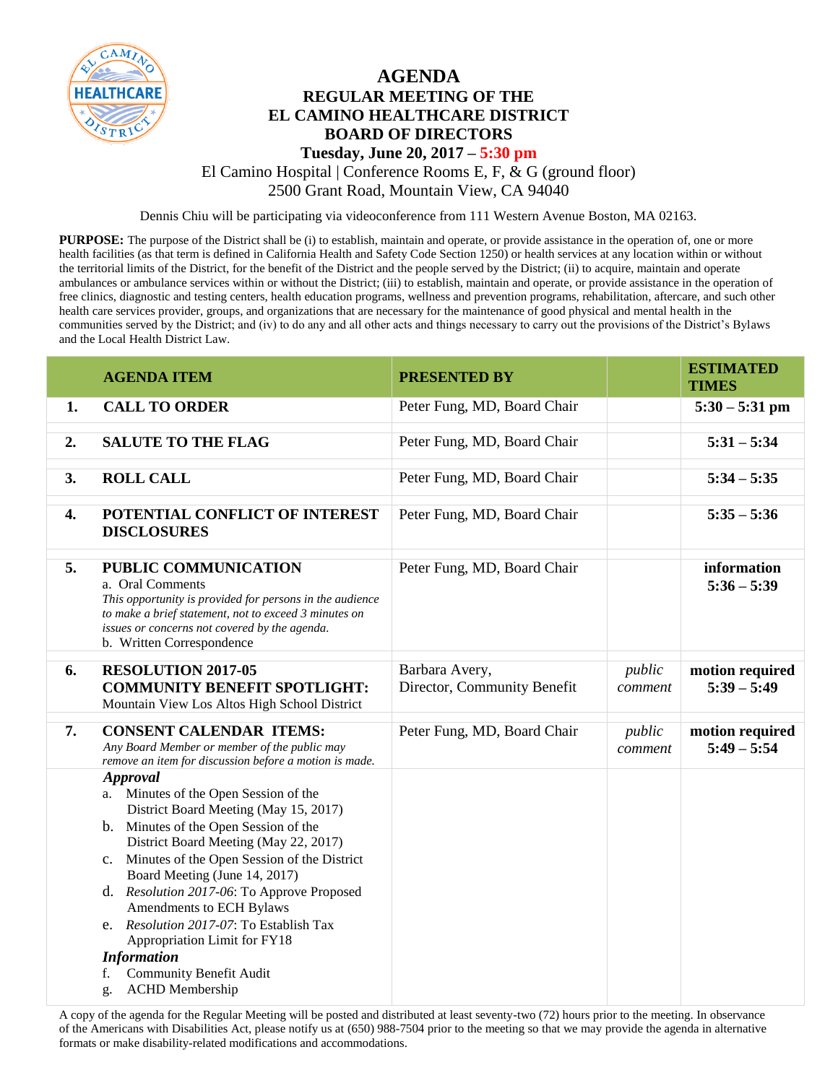

## **AGENDA REGULAR MEETING OF THE EL CAMINO HEALTHCARE DISTRICT BOARD OF DIRECTORS**

## **Tuesday, June 20, 2017 – 5:30 pm** El Camino Hospital | Conference Rooms E, F, & G (ground floor)

2500 Grant Road, Mountain View, CA 94040

Dennis Chiu will be participating via videoconference from 111 Western Avenue Boston, MA 02163.

**PURPOSE:** The purpose of the District shall be (i) to establish, maintain and operate, or provide assistance in the operation of, one or more health facilities (as that term is defined in California Health and Safety Code Section 1250) or health services at any location within or without the territorial limits of the District, for the benefit of the District and the people served by the District; (ii) to acquire, maintain and operate ambulances or ambulance services within or without the District; (iii) to establish, maintain and operate, or provide assistance in the operation of free clinics, diagnostic and testing centers, health education programs, wellness and prevention programs, rehabilitation, aftercare, and such other health care services provider, groups, and organizations that are necessary for the maintenance of good physical and mental health in the communities served by the District; and (iv) to do any and all other acts and things necessary to carry out the provisions of the District's Bylaws and the Local Health District Law.

|    | <b>AGENDA ITEM</b>                                                                                                                                                                                                                                                                                                                                                                                                                                                                                                             | <b>PRESENTED BY</b>                           |                   | <b>ESTIMATED</b><br><b>TIMES</b> |
|----|--------------------------------------------------------------------------------------------------------------------------------------------------------------------------------------------------------------------------------------------------------------------------------------------------------------------------------------------------------------------------------------------------------------------------------------------------------------------------------------------------------------------------------|-----------------------------------------------|-------------------|----------------------------------|
| 1. | <b>CALL TO ORDER</b>                                                                                                                                                                                                                                                                                                                                                                                                                                                                                                           | Peter Fung, MD, Board Chair                   |                   | $5:30 - 5:31$ pm                 |
| 2. | <b>SALUTE TO THE FLAG</b>                                                                                                                                                                                                                                                                                                                                                                                                                                                                                                      | Peter Fung, MD, Board Chair                   |                   | $5:31 - 5:34$                    |
| 3. | <b>ROLL CALL</b>                                                                                                                                                                                                                                                                                                                                                                                                                                                                                                               | Peter Fung, MD, Board Chair                   |                   | $5:34 - 5:35$                    |
| 4. | POTENTIAL CONFLICT OF INTEREST<br><b>DISCLOSURES</b>                                                                                                                                                                                                                                                                                                                                                                                                                                                                           | Peter Fung, MD, Board Chair                   |                   | $5:35 - 5:36$                    |
| 5. | PUBLIC COMMUNICATION<br>a. Oral Comments<br>This opportunity is provided for persons in the audience<br>to make a brief statement, not to exceed 3 minutes on<br>issues or concerns not covered by the agenda.<br>b. Written Correspondence                                                                                                                                                                                                                                                                                    | Peter Fung, MD, Board Chair                   |                   | information<br>$5:36 - 5:39$     |
| 6. | <b>RESOLUTION 2017-05</b><br><b>COMMUNITY BENEFIT SPOTLIGHT:</b><br>Mountain View Los Altos High School District                                                                                                                                                                                                                                                                                                                                                                                                               | Barbara Avery,<br>Director, Community Benefit | public<br>comment | motion required<br>$5:39 - 5:49$ |
| 7. | <b>CONSENT CALENDAR ITEMS:</b><br>Any Board Member or member of the public may<br>remove an item for discussion before a motion is made.                                                                                                                                                                                                                                                                                                                                                                                       | Peter Fung, MD, Board Chair                   | public<br>comment | motion required<br>$5:49 - 5:54$ |
|    | <b>Approval</b><br>a. Minutes of the Open Session of the<br>District Board Meeting (May 15, 2017)<br>b. Minutes of the Open Session of the<br>District Board Meeting (May 22, 2017)<br>Minutes of the Open Session of the District<br>$c_{\cdot}$<br>Board Meeting (June 14, 2017)<br>d. Resolution 2017-06: To Approve Proposed<br>Amendments to ECH Bylaws<br>e. Resolution 2017-07: To Establish Tax<br>Appropriation Limit for FY18<br><b>Information</b><br>Community Benefit Audit<br>f.<br><b>ACHD</b> Membership<br>g. |                                               |                   |                                  |

A copy of the agenda for the Regular Meeting will be posted and distributed at least seventy-two (72) hours prior to the meeting. In observance of the Americans with Disabilities Act, please notify us at (650) 988-7504 prior to the meeting so that we may provide the agenda in alternative formats or make disability-related modifications and accommodations.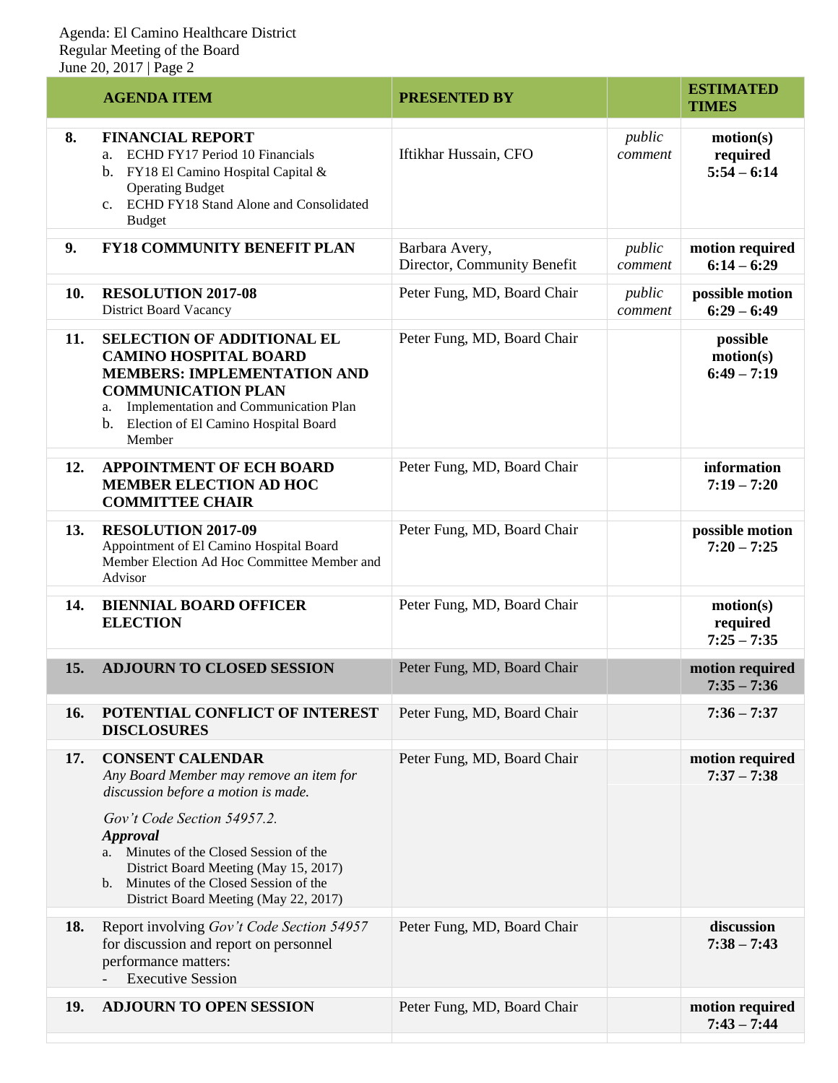|     | <b>AGENDA ITEM</b>                                                                                                                                                                                                                                                                                                                                    | <b>PRESENTED BY</b>                           |                   | <b>ESTIMATED</b><br><b>TIMES</b>       |
|-----|-------------------------------------------------------------------------------------------------------------------------------------------------------------------------------------------------------------------------------------------------------------------------------------------------------------------------------------------------------|-----------------------------------------------|-------------------|----------------------------------------|
| 8.  | <b>FINANCIAL REPORT</b><br>ECHD FY17 Period 10 Financials<br>a.<br>b. FY18 El Camino Hospital Capital &<br><b>Operating Budget</b><br>c. ECHD FY18 Stand Alone and Consolidated<br><b>Budget</b>                                                                                                                                                      | Iftikhar Hussain, CFO                         | public<br>comment | motion(s)<br>required<br>$5:54 - 6:14$ |
| 9.  | <b>FY18 COMMUNITY BENEFIT PLAN</b>                                                                                                                                                                                                                                                                                                                    | Barbara Avery,<br>Director, Community Benefit | public<br>comment | motion required<br>$6:14 - 6:29$       |
| 10. | <b>RESOLUTION 2017-08</b><br><b>District Board Vacancy</b>                                                                                                                                                                                                                                                                                            | Peter Fung, MD, Board Chair                   | public<br>comment | possible motion<br>$6:29 - 6:49$       |
| 11. | <b>SELECTION OF ADDITIONAL EL</b><br><b>CAMINO HOSPITAL BOARD</b><br><b>MEMBERS: IMPLEMENTATION AND</b><br><b>COMMUNICATION PLAN</b><br>Implementation and Communication Plan<br>a.<br>b. Election of El Camino Hospital Board<br>Member                                                                                                              | Peter Fung, MD, Board Chair                   |                   | possible<br>motion(s)<br>$6:49 - 7:19$ |
| 12. | <b>APPOINTMENT OF ECH BOARD</b><br><b>MEMBER ELECTION AD HOC</b><br><b>COMMITTEE CHAIR</b>                                                                                                                                                                                                                                                            | Peter Fung, MD, Board Chair                   |                   | information<br>$7:19 - 7:20$           |
| 13. | <b>RESOLUTION 2017-09</b><br>Appointment of El Camino Hospital Board<br>Member Election Ad Hoc Committee Member and<br>Advisor                                                                                                                                                                                                                        | Peter Fung, MD, Board Chair                   |                   | possible motion<br>$7:20 - 7:25$       |
| 14. | <b>BIENNIAL BOARD OFFICER</b><br><b>ELECTION</b>                                                                                                                                                                                                                                                                                                      | Peter Fung, MD, Board Chair                   |                   | motion(s)<br>required<br>$7:25 - 7:35$ |
| 15. | <b>ADJOURN TO CLOSED SESSION</b>                                                                                                                                                                                                                                                                                                                      | Peter Fung, MD, Board Chair                   |                   | motion required<br>$7:35 - 7:36$       |
| 16. | POTENTIAL CONFLICT OF INTEREST<br><b>DISCLOSURES</b>                                                                                                                                                                                                                                                                                                  | Peter Fung, MD, Board Chair                   |                   | $7:36 - 7:37$                          |
| 17. | <b>CONSENT CALENDAR</b><br>Any Board Member may remove an item for<br>discussion before a motion is made.<br>Gov't Code Section 54957.2.<br><b>Approval</b><br>Minutes of the Closed Session of the<br>a.<br>District Board Meeting (May 15, 2017)<br>Minutes of the Closed Session of the<br>$\mathbf{b}$ .<br>District Board Meeting (May 22, 2017) | Peter Fung, MD, Board Chair                   |                   | motion required<br>$7:37 - 7:38$       |
| 18. | Report involving Gov't Code Section 54957<br>for discussion and report on personnel<br>performance matters:<br><b>Executive Session</b>                                                                                                                                                                                                               | Peter Fung, MD, Board Chair                   |                   | discussion<br>$7:38 - 7:43$            |
| 19. | <b>ADJOURN TO OPEN SESSION</b>                                                                                                                                                                                                                                                                                                                        | Peter Fung, MD, Board Chair                   |                   | motion required<br>$7:43 - 7:44$       |
|     |                                                                                                                                                                                                                                                                                                                                                       |                                               |                   |                                        |